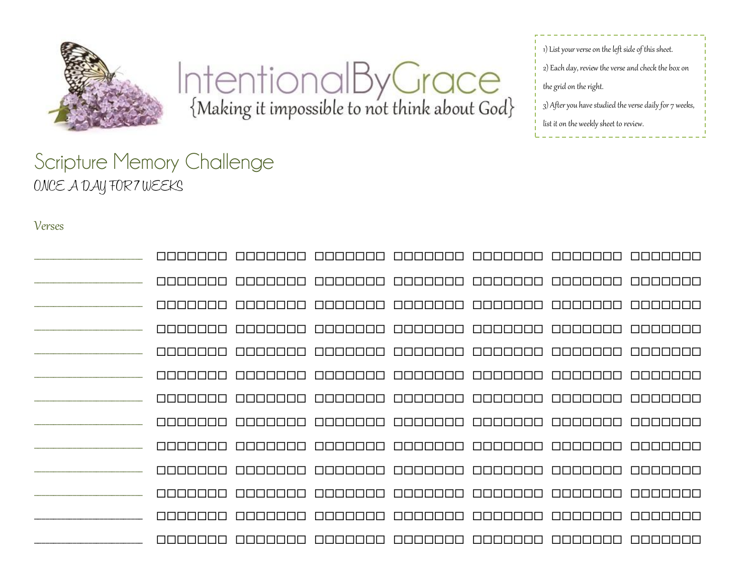

IntentionalByGrace

1) List your verse on the left side of this sheet. 2) Each day, review the verse and check the box on the grid on the right. 3) After you have studied the verse daily for 7 weeks, list it on the weekly sheet to review.

## Scripture Memory Challenge ONCE A DAY FOR 7 WEEKS

## Verses